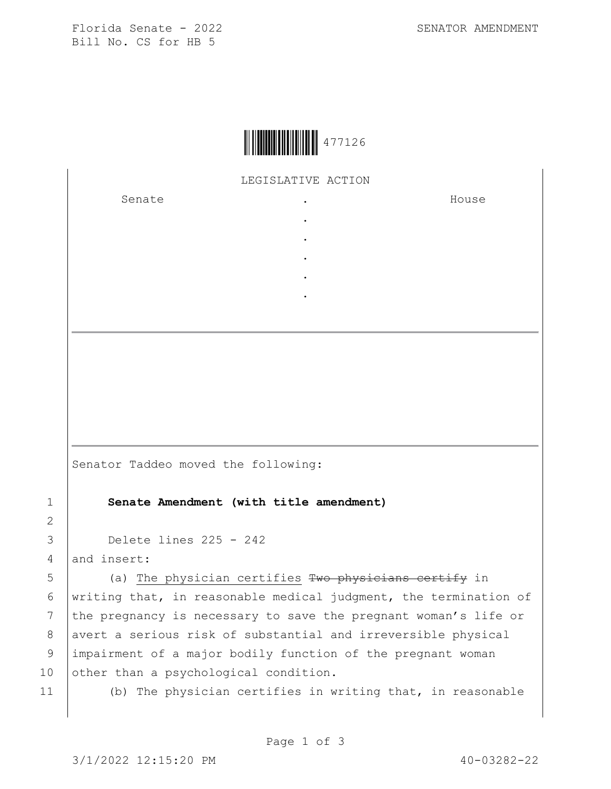Florida Senate - 2022 SENATOR AMENDMENT Bill No. CS for HB 5



LEGISLATIVE ACTION

. . . . .

Senate .

House

Senator Taddeo moved the following:

1 **Senate Amendment (with title amendment)**

```
3 Delete lines 225 - 242
```
4 and insert:

5 (a) The physician certifies Two physicians certify in 6 | writing that, in reasonable medical judgment, the termination of 7 the pregnancy is necessary to save the pregnant woman's life or 8 avert a serious risk of substantial and irreversible physical 9 impairment of a major bodily function of the pregnant woman 10 other than a psychological condition.

2

11 (b) The physician certifies in writing that, in reasonable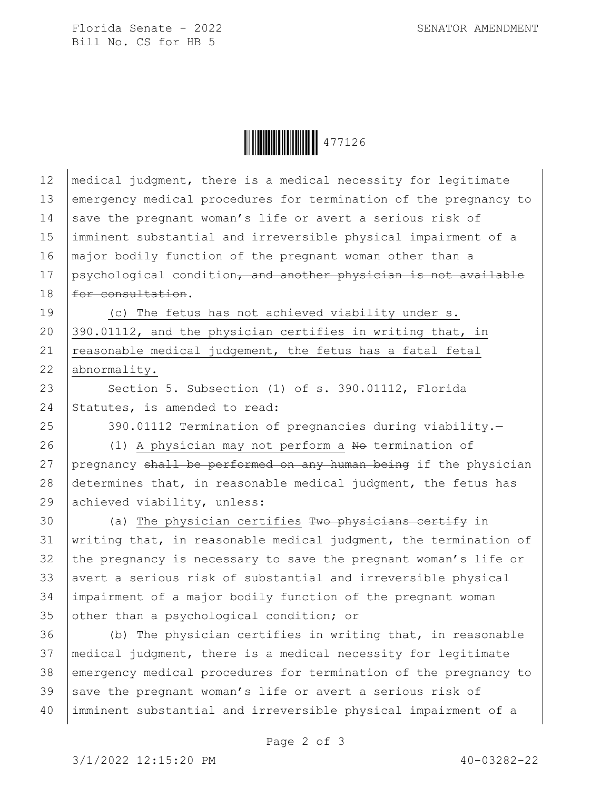Florida Senate - 2022 SENATOR AMENDMENT Bill No. CS for HB 5



| 12 | medical judgment, there is a medical necessity for legitimate    |
|----|------------------------------------------------------------------|
| 13 | emergency medical procedures for termination of the pregnancy to |
| 14 | save the pregnant woman's life or avert a serious risk of        |
| 15 | imminent substantial and irreversible physical impairment of a   |
| 16 | major bodily function of the pregnant woman other than a         |
| 17 | psychological condition, and another physician is not available  |
| 18 | for consultation.                                                |
| 19 | (c) The fetus has not achieved viability under s.                |
| 20 | 390.01112, and the physician certifies in writing that, in       |
| 21 | reasonable medical judgement, the fetus has a fatal fetal        |
| 22 | abnormality.                                                     |
| 23 | Section 5. Subsection (1) of s. 390.01112, Florida               |
| 24 | Statutes, is amended to read:                                    |
| 25 | 390.01112 Termination of pregnancies during viability.-          |
| 26 | (1) A physician may not perform a No termination of              |
| 27 | pregnancy shall be performed on any human being if the physician |
| 28 | determines that, in reasonable medical judgment, the fetus has   |
| 29 | achieved viability, unless:                                      |
| 30 | (a) The physician certifies Two physicians certify in            |
| 31 | writing that, in reasonable medical judgment, the termination of |
| 32 | the pregnancy is necessary to save the pregnant woman's life or  |
| 33 | avert a serious risk of substantial and irreversible physical    |
| 34 | impairment of a major bodily function of the pregnant woman      |
| 35 | other than a psychological condition; or                         |
| 36 | (b) The physician certifies in writing that, in reasonable       |
| 37 | medical judgment, there is a medical necessity for legitimate    |
| 38 | emergency medical procedures for termination of the pregnancy to |
| 39 | save the pregnant woman's life or avert a serious risk of        |
| 40 | imminent substantial and irreversible physical impairment of a   |
|    |                                                                  |